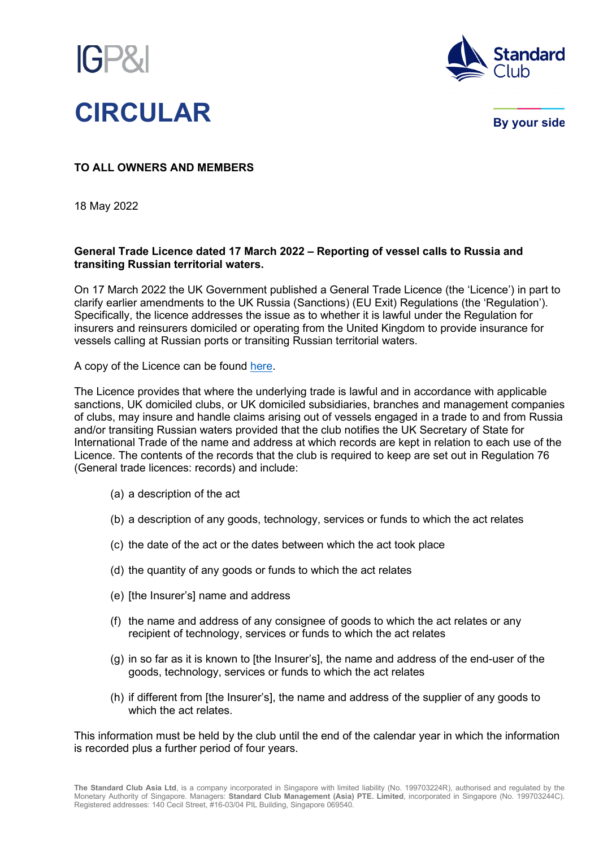



**By your side** 

## **TO ALL OWNERS AND MEMBERS**

18 May 2022

## **General Trade Licence dated 17 March 2022 – Reporting of vessel calls to Russia and transiting Russian territorial waters.**

On 17 March 2022 the UK Government published a General Trade Licence (the 'Licence') in part to clarify earlier amendments to the UK Russia (Sanctions) (EU Exit) Regulations (the 'Regulation'). Specifically, the licence addresses the issue as to whether it is lawful under the Regulation for insurers and reinsurers domiciled or operating from the United Kingdom to provide insurance for vessels calling at Russian ports or transiting Russian territorial waters.

A copy of the Licence can be found [here.](https://assets.publishing.service.gov.uk/government/uploads/system/uploads/attachment_data/file/1067674/general-trade-licence-russia-sanctions-vessels.pdf)

The Licence provides that where the underlying trade is lawful and in accordance with applicable sanctions, UK domiciled clubs, or UK domiciled subsidiaries, branches and management companies of clubs, may insure and handle claims arising out of vessels engaged in a trade to and from Russia and/or transiting Russian waters provided that the club notifies the UK Secretary of State for International Trade of the name and address at which records are kept in relation to each use of the Licence. The contents of the records that the club is required to keep are set out in Regulation 76 (General trade licences: records) and include:

- (a) a description of the act
- (b) a description of any goods, technology, services or funds to which the act relates
- (c) the date of the act or the dates between which the act took place
- (d) the quantity of any goods or funds to which the act relates
- (e) [the Insurer's] name and address
- (f) the name and address of any consignee of goods to which the act relates or any recipient of technology, services or funds to which the act relates
- (g) in so far as it is known to [the Insurer's], the name and address of the end-user of the goods, technology, services or funds to which the act relates
- (h) if different from [the Insurer's], the name and address of the supplier of any goods to which the act relates.

This information must be held by the club until the end of the calendar year in which the information is recorded plus a further period of four years.